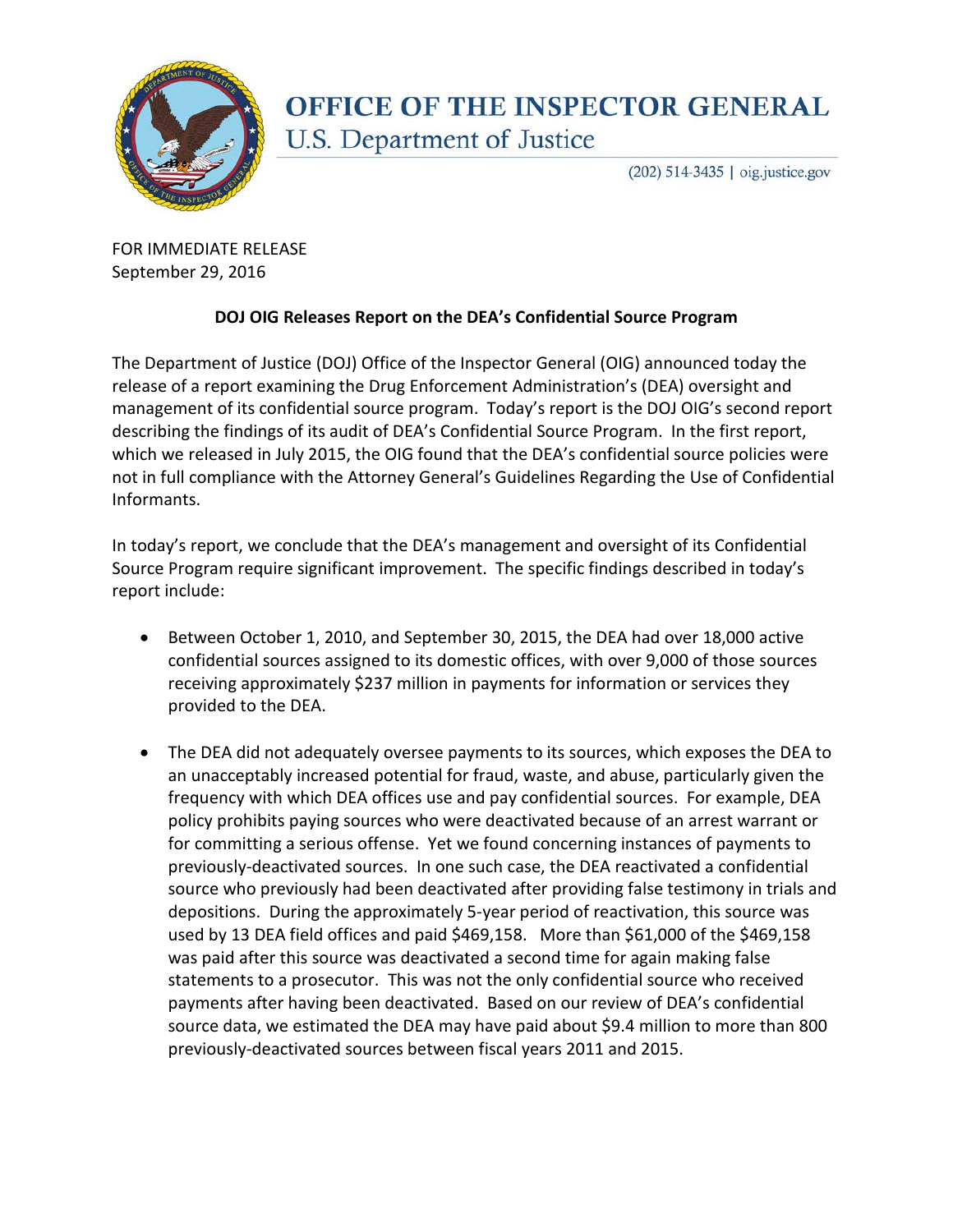

## **OFFICE OF THE INSPECTOR GENERAL** U.S. Department of Justice

(202) 514-3435 | oig.justice.gov

FOR IMMEDIATE RELEASE September 29, 2016

## **DOJ OIG Releases Report on the DEA's Confidential Source Program**

The Department of Justice (DOJ) Office of the Inspector General (OIG) announced today the release of a report examining the Drug Enforcement Administration's (DEA) oversight and management of its confidential source program. Today's report is the DOJ OIG's second report describing the findings of its audit of DEA's Confidential Source Program. In the first report, which we released in July 2015, the OIG found that the DEA's confidential source policies were not in full compliance with the Attorney General's Guidelines Regarding the Use of Confidential Informants.

In today's report, we conclude that the DEA's management and oversight of its Confidential Source Program require significant improvement. The specific findings described in today's report include:

- Between October 1, 2010, and September 30, 2015, the DEA had over 18,000 active confidential sources assigned to its domestic offices, with over 9,000 of those sources receiving approximately \$237 million in payments for information or services they provided to the DEA.
- The DEA did not adequately oversee payments to its sources, which exposes the DEA to an unacceptably increased potential for fraud, waste, and abuse, particularly given the frequency with which DEA offices use and pay confidential sources. For example, DEA policy prohibits paying sources who were deactivated because of an arrest warrant or for committing a serious offense. Yet we found concerning instances of payments to previously-deactivated sources. In one such case, the DEA reactivated a confidential source who previously had been deactivated after providing false testimony in trials and depositions. During the approximately 5-year period of reactivation, this source was used by 13 DEA field offices and paid \$469,158. More than \$61,000 of the \$469,158 was paid after this source was deactivated a second time for again making false statements to a prosecutor. This was not the only confidential source who received payments after having been deactivated. Based on our review of DEA's confidential source data, we estimated the DEA may have paid about \$9.4 million to more than 800 previously-deactivated sources between fiscal years 2011 and 2015.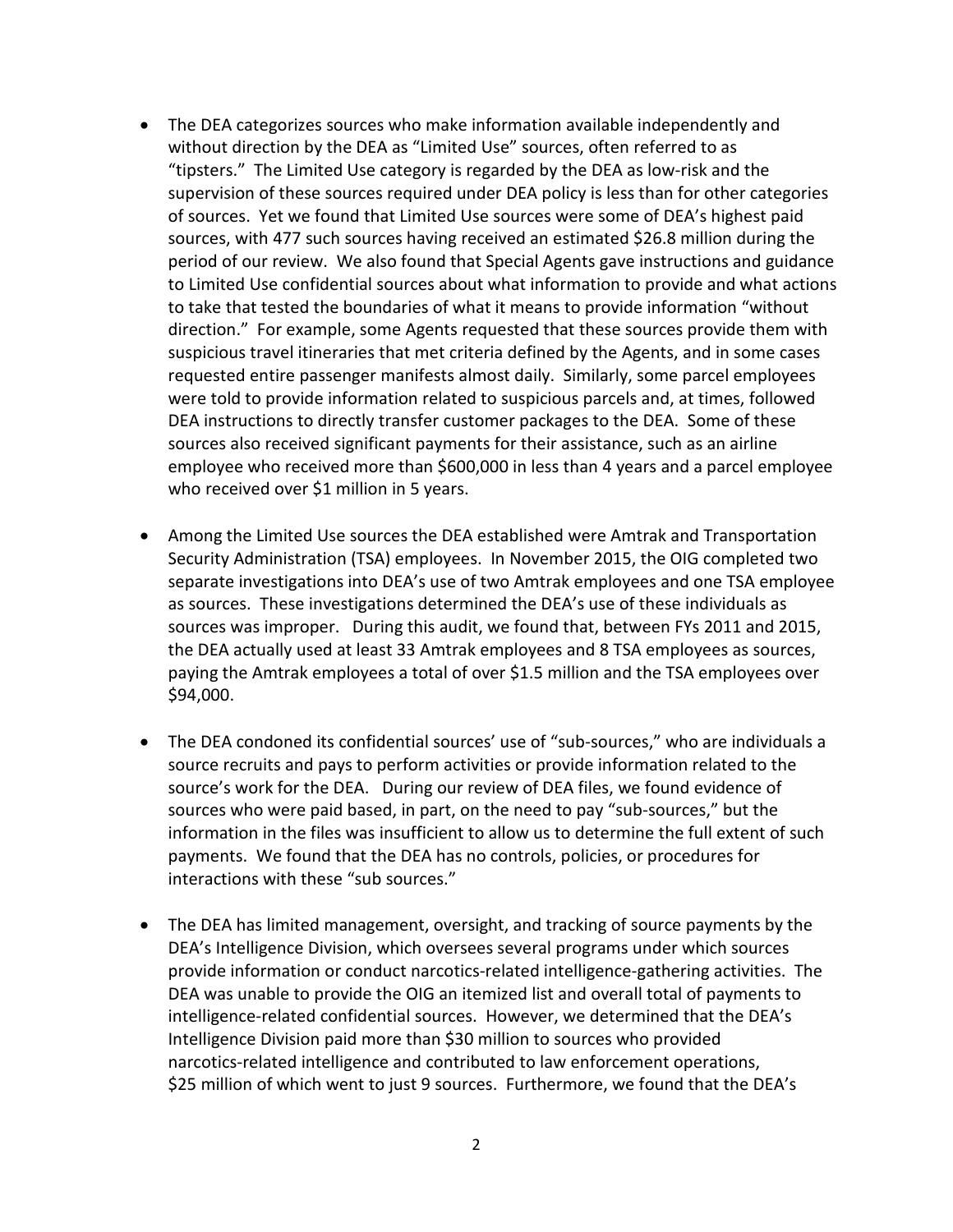- The DEA categorizes sources who make information available independently and without direction by the DEA as "Limited Use" sources, often referred to as "tipsters." The Limited Use category is regarded by the DEA as low-risk and the supervision of these sources required under DEA policy is less than for other categories of sources. Yet we found that Limited Use sources were some of DEA's highest paid sources, with 477 such sources having received an estimated \$26.8 million during the period of our review. We also found that Special Agents gave instructions and guidance to Limited Use confidential sources about what information to provide and what actions to take that tested the boundaries of what it means to provide information "without direction." For example, some Agents requested that these sources provide them with suspicious travel itineraries that met criteria defined by the Agents, and in some cases requested entire passenger manifests almost daily. Similarly, some parcel employees were told to provide information related to suspicious parcels and, at times, followed DEA instructions to directly transfer customer packages to the DEA. Some of these sources also received significant payments for their assistance, such as an airline employee who received more than \$600,000 in less than 4 years and a parcel employee who received over \$1 million in 5 years.
- Among the Limited Use sources the DEA established were Amtrak and Transportation Security Administration (TSA) employees. In November 2015, the OIG completed two separate investigations into DEA's use of two Amtrak employees and one TSA employee as sources. These investigations determined the DEA's use of these individuals as sources was improper. During this audit, we found that, between FYs 2011 and 2015, the DEA actually used at least 33 Amtrak employees and 8 TSA employees as sources, paying the Amtrak employees a total of over \$1.5 million and the TSA employees over \$94,000.
- The DEA condoned its confidential sources' use of "sub-sources," who are individuals a source recruits and pays to perform activities or provide information related to the source's work for the DEA. During our review of DEA files, we found evidence of sources who were paid based, in part, on the need to pay "sub-sources," but the information in the files was insufficient to allow us to determine the full extent of such payments. We found that the DEA has no controls, policies, or procedures for interactions with these "sub sources."
- The DEA has limited management, oversight, and tracking of source payments by the DEA's Intelligence Division, which oversees several programs under which sources provide information or conduct narcotics-related intelligence-gathering activities. The DEA was unable to provide the OIG an itemized list and overall total of payments to intelligence-related confidential sources. However, we determined that the DEA's Intelligence Division paid more than \$30 million to sources who provided narcotics-related intelligence and contributed to law enforcement operations, \$25 million of which went to just 9 sources. Furthermore, we found that the DEA's